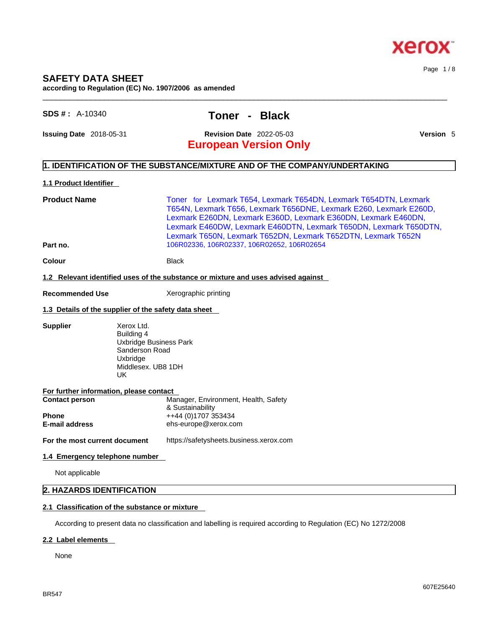

# **SAFETY DATA SHEET**

**according to Regulation (EC) No. 1907/2006 as amended** 

# **SDS # :** A-10340 **Toner - Black**

**Issuing Date** 2018-05-31 **Revision Date** 2022-05-03 **Version** 5

Page 1 / 8

# **European Version Only**

# **1. IDENTIFICATION OF THE SUBSTANCE/MIXTURE AND OF THE COMPANY/UNDERTAKING**

# **1.1 Product Identifier**

**Product Name Toner for Lexmark T654, Lexmark T654DN, Lexmark T654DTN, Lexmark** T654N, Lexmark T656, Lexmark T656DNE, Lexmark E260, Lexmark E260D, Lexmark E260DN, Lexmark E360D, Lexmark E360DN, Lexmark E460DN, Lexmark E460DW, Lexmark E460DTN, Lexmark T650DN, Lexmark T650DTN, Lexmark T650N, Lexmark T652DN, Lexmark T652DTN, Lexmark T652N **Part no.** 106R02336, 106R02337, 106R02652, 106R02654

 $\_$  ,  $\_$  ,  $\_$  ,  $\_$  ,  $\_$  ,  $\_$  ,  $\_$  ,  $\_$  ,  $\_$  ,  $\_$  ,  $\_$  ,  $\_$  ,  $\_$  ,  $\_$  ,  $\_$  ,  $\_$  ,  $\_$  ,  $\_$  ,  $\_$  ,  $\_$  ,  $\_$  ,  $\_$  ,  $\_$  ,  $\_$  ,  $\_$  ,  $\_$  ,  $\_$  ,  $\_$  ,  $\_$  ,  $\_$  ,  $\_$  ,  $\_$  ,  $\_$  ,  $\_$  ,  $\_$  ,  $\_$  ,  $\_$  ,

**Colour Black** 

### **1.2 Relevant identified uses of the substance or mixture and uses advised against**

**Recommended Use** Xerographic printing

## **1.3 Details of the supplier of the safety data sheet**

**Supplier** Xerox Ltd.

Building 4 Uxbridge Business Park Sanderson Road Uxbridge Middlesex. UB8 1DH<br>UK UK

| For further information, please contact |                                                          |
|-----------------------------------------|----------------------------------------------------------|
| <b>Contact person</b>                   | Manager, Environment, Health, Safety<br>& Sustainability |
| <b>Phone</b><br><b>E-mail address</b>   | ++44 (0)1707 353434<br>ehs-europe@xerox.com              |
| For the most current document           | https://safetysheets.business.xerox.com                  |

### **1.4 Emergency telephone number**

Not applicable

# **2. HAZARDS IDENTIFICATION**

## **2.1 Classification of the substance or mixture**

According to present data no classification and labelling is required according to Regulation (EC) No 1272/2008

## **2.2 Label elements**

None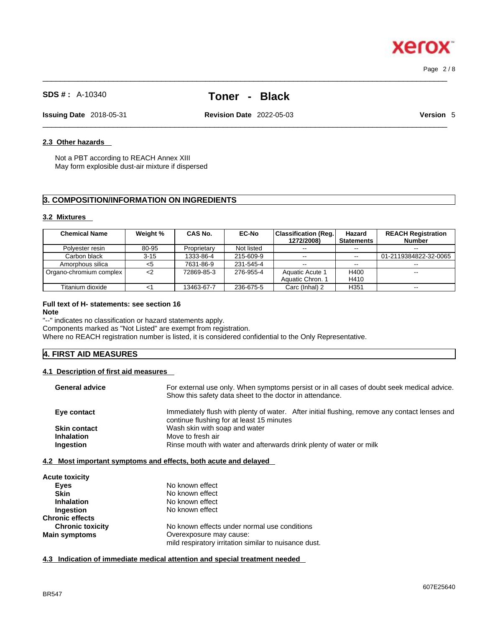Page 2 / 8

**Xerox** 

# **SDS # :** A-10340 **Toner - Black**

 $\_$  ,  $\_$  ,  $\_$  ,  $\_$  ,  $\_$  ,  $\_$  ,  $\_$  ,  $\_$  ,  $\_$  ,  $\_$  ,  $\_$  ,  $\_$  ,  $\_$  ,  $\_$  ,  $\_$  ,  $\_$  ,  $\_$  ,  $\_$  ,  $\_$  ,  $\_$  ,  $\_$  ,  $\_$  ,  $\_$  ,  $\_$  ,  $\_$  ,  $\_$  ,  $\_$  ,  $\_$  ,  $\_$  ,  $\_$  ,  $\_$  ,  $\_$  ,  $\_$  ,  $\_$  ,  $\_$  ,  $\_$  ,  $\_$  ,

 $\_$  ,  $\_$  ,  $\_$  ,  $\_$  ,  $\_$  ,  $\_$  ,  $\_$  ,  $\_$  ,  $\_$  ,  $\_$  ,  $\_$  ,  $\_$  ,  $\_$  ,  $\_$  ,  $\_$  ,  $\_$  ,  $\_$  ,  $\_$  ,  $\_$  ,  $\_$  ,  $\_$  ,  $\_$  ,  $\_$  ,  $\_$  ,  $\_$  ,  $\_$  ,  $\_$  ,  $\_$  ,  $\_$  ,  $\_$  ,  $\_$  ,  $\_$  ,  $\_$  ,  $\_$  ,  $\_$  ,  $\_$  ,  $\_$  ,

**Issuing Date** 2018-05-31 **Revision Date** 2022-05-03 **Version** 5

## **2.3 Other hazards**

Not a PBT according to REACH Annex XIII May form explosible dust-air mixture if dispersed

# **3. COMPOSITION/INFORMATION ON INGREDIENTS**

### **3.2 Mixtures**

| <b>Chemical Name</b>    | Weight % | CAS No.     | <b>EC-No</b> | Classification (Reg.) | Hazard            | <b>REACH Registration</b> |
|-------------------------|----------|-------------|--------------|-----------------------|-------------------|---------------------------|
|                         |          |             |              | 1272/2008)            | <b>Statements</b> | <b>Number</b>             |
| Polyester resin         | 80-95    | Proprietary | Not listed   | $- -$                 | $-1$              |                           |
| Carbon black            | $3 - 15$ | 1333-86-4   | 215-609-9    | $\sim$ $\sim$         | $\sim$ $\sim$     | 01-2119384822-32-0065     |
| Amorphous silica        | <5       | 7631-86-9   | 231-545-4    | $-$                   | $- -$             | $- -$                     |
| Organo-chromium complex | <2       | 72869-85-3  | 276-955-4    | Aquatic Acute 1       | H400              | $\sim$ $\sim$             |
|                         |          |             |              | Aquatic Chron, 1      | H410              |                           |
| Titanium dioxide        |          | 13463-67-7  | 236-675-5    | Carc (Inhal) 2        | H <sub>351</sub>  | $\sim$ $\sim$             |

## **Full text of H- statements: see section 16**

**Note**

"--" indicates no classification or hazard statements apply.

Components marked as "Not Listed" are exempt from registration.

Where no REACH registration number is listed, it is considered confidential to the Only Representative.

# **4. FIRST AID MEASURES**

# **4.1 Description of first aid measures**

| <b>General advice</b> | For external use only. When symptoms persist or in all cases of doubt seek medical advice.<br>Show this safety data sheet to the doctor in attendance. |  |
|-----------------------|--------------------------------------------------------------------------------------------------------------------------------------------------------|--|
| Eye contact           | Immediately flush with plenty of water. After initial flushing, remove any contact lenses and<br>continue flushing for at least 15 minutes             |  |
| <b>Skin contact</b>   | Wash skin with soap and water                                                                                                                          |  |
| <b>Inhalation</b>     | Move to fresh air                                                                                                                                      |  |
| Ingestion             | Rinse mouth with water and afterwards drink plenty of water or milk                                                                                    |  |

### **4.2 Most important symptoms and effects, both acute and delayed**

| <b>Acute toxicity</b>   |                                                       |  |
|-------------------------|-------------------------------------------------------|--|
| <b>Eves</b>             | No known effect                                       |  |
| <b>Skin</b>             | No known effect                                       |  |
| <b>Inhalation</b>       | No known effect                                       |  |
| Ingestion               | No known effect                                       |  |
| <b>Chronic effects</b>  |                                                       |  |
| <b>Chronic toxicity</b> | No known effects under normal use conditions          |  |
| <b>Main symptoms</b>    | Overexposure may cause:                               |  |
|                         | mild respiratory irritation similar to nuisance dust. |  |

# **4.3 Indication of immediate medical attention and special treatment needed**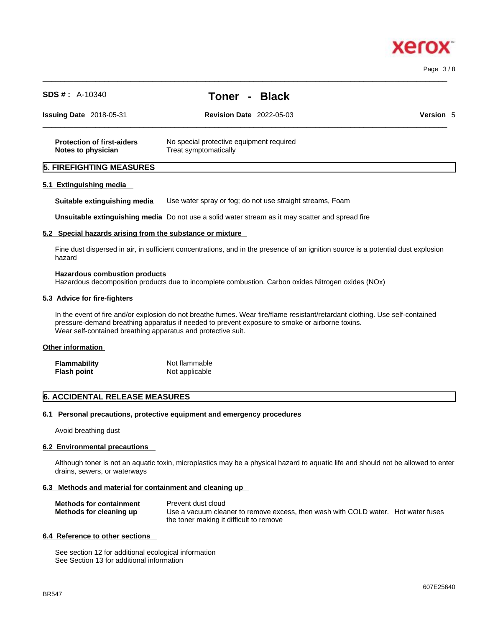

| <b>SDS #: A-10340</b>                                   | <b>Black</b><br><b>Toner</b><br>$\sim$                            |           |
|---------------------------------------------------------|-------------------------------------------------------------------|-----------|
| <b>Issuing Date 2018-05-31</b>                          | <b>Revision Date 2022-05-03</b>                                   | Version 5 |
| <b>Protection of first-aiders</b><br>Notes to physician | No special protective equipment required<br>Treat symptomatically |           |
| <b>5. FIREFIGHTING MEASURES</b>                         |                                                                   |           |

 $\_$  ,  $\_$  ,  $\_$  ,  $\_$  ,  $\_$  ,  $\_$  ,  $\_$  ,  $\_$  ,  $\_$  ,  $\_$  ,  $\_$  ,  $\_$  ,  $\_$  ,  $\_$  ,  $\_$  ,  $\_$  ,  $\_$  ,  $\_$  ,  $\_$  ,  $\_$  ,  $\_$  ,  $\_$  ,  $\_$  ,  $\_$  ,  $\_$  ,  $\_$  ,  $\_$  ,  $\_$  ,  $\_$  ,  $\_$  ,  $\_$  ,  $\_$  ,  $\_$  ,  $\_$  ,  $\_$  ,  $\_$  ,  $\_$  ,

### **5.1 Extinguishing media**

**Suitable extinguishing media** Use water spray or fog; do not use straight streams, Foam

**Unsuitable extinguishing media** Do not use a solid water stream as it may scatterand spread fire

### **5.2 Special hazards arising from the substance or mixture**

Fine dust dispersed in air, in sufficient concentrations, and in the presence of an ignition source is a potential dust explosion hazard

#### **Hazardous combustion products**

Hazardous decomposition products due to incomplete combustion. Carbon oxides Nitrogen oxides (NOx)

### **5.3 Advice for fire-fighters**

In the event of fire and/or explosion do not breathe fumes. Wear fire/flame resistant/retardant clothing. Use self-contained pressure-demand breathing apparatus if needed to prevent exposure to smoke or airborne toxins. Wear self-contained breathing apparatus and protective suit.

#### **Other information**

| <b>Flammability</b> | Not flammable  |
|---------------------|----------------|
| <b>Flash point</b>  | Not applicable |

# **6. ACCIDENTAL RELEASE MEASURES**

## **6.1 Personal precautions, protective equipment and emergency procedures**

Avoid breathing dust

### **6.2 Environmental precautions**

Although toner is not an aquatic toxin, microplastics may be a physical hazard to aquatic life and should not be allowed to enter drains, sewers, or waterways

### **6.3 Methods and material for containment and cleaning up**

| <b>Methods for containment</b> | Prevent dust cloud                                                                |  |
|--------------------------------|-----------------------------------------------------------------------------------|--|
| Methods for cleaning up        | Use a vacuum cleaner to remove excess, then wash with COLD water. Hot water fuses |  |
|                                | the toner making it difficult to remove                                           |  |

### **6.4 Reference to other sections**

See section 12 for additional ecological information See Section 13 for additional information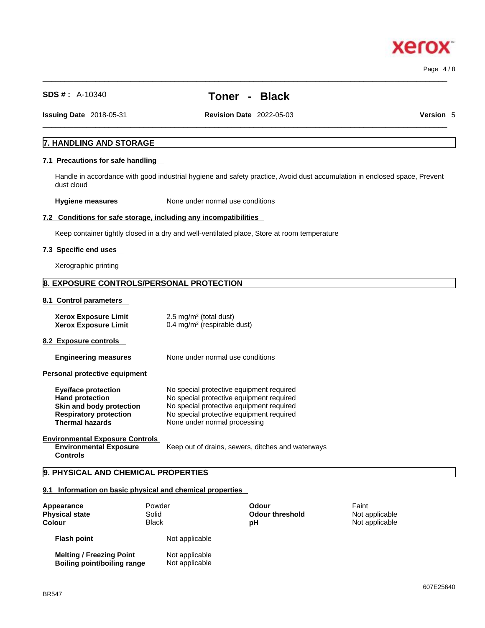Page 4 / 8

**Xero** 

# **SDS # :** A-10340 **Toner - Black**

 $\_$  ,  $\_$  ,  $\_$  ,  $\_$  ,  $\_$  ,  $\_$  ,  $\_$  ,  $\_$  ,  $\_$  ,  $\_$  ,  $\_$  ,  $\_$  ,  $\_$  ,  $\_$  ,  $\_$  ,  $\_$  ,  $\_$  ,  $\_$  ,  $\_$  ,  $\_$  ,  $\_$  ,  $\_$  ,  $\_$  ,  $\_$  ,  $\_$  ,  $\_$  ,  $\_$  ,  $\_$  ,  $\_$  ,  $\_$  ,  $\_$  ,  $\_$  ,  $\_$  ,  $\_$  ,  $\_$  ,  $\_$  ,  $\_$  ,

**Issuing Date** 2018-05-31 **Revision Date** 2022-05-03 **Version** 5

 $\_$  ,  $\_$  ,  $\_$  ,  $\_$  ,  $\_$  ,  $\_$  ,  $\_$  ,  $\_$  ,  $\_$  ,  $\_$  ,  $\_$  ,  $\_$  ,  $\_$  ,  $\_$  ,  $\_$  ,  $\_$  ,  $\_$  ,  $\_$  ,  $\_$  ,  $\_$  ,  $\_$  ,  $\_$  ,  $\_$  ,  $\_$  ,  $\_$  ,  $\_$  ,  $\_$  ,  $\_$  ,  $\_$  ,  $\_$  ,  $\_$  ,  $\_$  ,  $\_$  ,  $\_$  ,  $\_$  ,  $\_$  ,  $\_$  ,

# **7. HANDLING AND STORAGE**

# **7.1 Precautions for safe handling**

Handle in accordance with good industrial hygiene and safety practice, Avoid dust accumulation in enclosed space, Prevent dust cloud

**Hygiene measures** None under normal use conditions

## **7.2 Conditions for safe storage, including any incompatibilities**

Keep container tightly closed in a dry and well-ventilated place, Store at room temperature

## **7.3 Specific end uses**

Xerographic printing

# **8. EXPOSURE CONTROLS/PERSONAL PROTECTION**

## **8.1 Control parameters**

| <b>Xerox Exposure Limit</b><br><b>Xerox Exposure Limit</b>                                                                                  | $2.5 \text{ mg/m}^3$ (total dust)<br>$0.4 \text{ mg/m}^3$ (respirable dust)                                                                                                                                  |
|---------------------------------------------------------------------------------------------------------------------------------------------|--------------------------------------------------------------------------------------------------------------------------------------------------------------------------------------------------------------|
| 8.2 Exposure controls                                                                                                                       |                                                                                                                                                                                                              |
| <b>Engineering measures</b>                                                                                                                 | None under normal use conditions                                                                                                                                                                             |
| Personal protective equipment                                                                                                               |                                                                                                                                                                                                              |
| <b>Eye/face protection</b><br><b>Hand protection</b><br>Skin and body protection<br><b>Respiratory protection</b><br><b>Thermal hazards</b> | No special protective equipment required<br>No special protective equipment required<br>No special protective equipment required<br>No special protective equipment required<br>None under normal processing |
| <b>Environmental Exposure Controls</b><br><b>Environmental Exposure</b><br><b>Controls</b>                                                  | Keep out of drains, sewers, ditches and waterways                                                                                                                                                            |

# **9. PHYSICAL AND CHEMICAL PROPERTIES**

### **9.1 Information on basic physical and chemical properties**

| Appearance<br><b>Physical state</b>                            | Powder<br>Solid                  | Odour<br><b>Odour threshold</b> | Faint<br>Not applicable |
|----------------------------------------------------------------|----------------------------------|---------------------------------|-------------------------|
| <b>Colour</b>                                                  | <b>Black</b>                     | рH                              | Not applicable          |
| <b>Flash point</b>                                             | Not applicable                   |                                 |                         |
| <b>Melting / Freezing Point</b><br>Boiling point/boiling range | Not applicable<br>Not applicable |                                 |                         |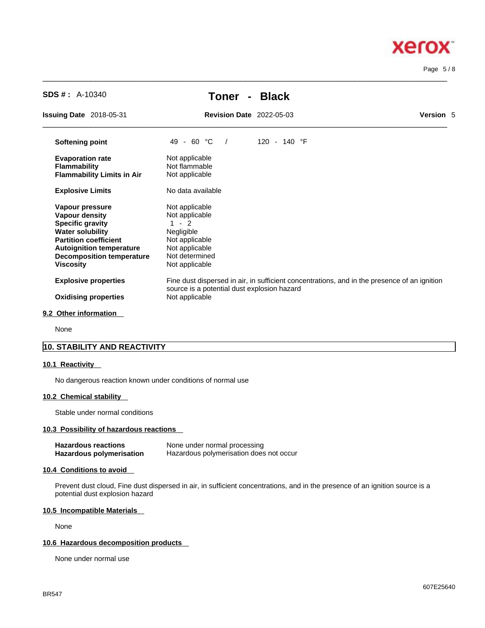# **Xerox**

Page 5 / 8

| <b>SDS #:</b> $A-10340$                                                                                                                                                                                                   | Toner<br>$\sim$                                                                                                                   | <b>Black</b>          |                                                                                              |
|---------------------------------------------------------------------------------------------------------------------------------------------------------------------------------------------------------------------------|-----------------------------------------------------------------------------------------------------------------------------------|-----------------------|----------------------------------------------------------------------------------------------|
| <b>Issuing Date 2018-05-31</b>                                                                                                                                                                                            | <b>Revision Date 2022-05-03</b>                                                                                                   |                       | Version 5                                                                                    |
| <b>Softening point</b>                                                                                                                                                                                                    | 49 - 60 °C<br>$\sqrt{ }$                                                                                                          | 120 - 140 $\degree$ F |                                                                                              |
| <b>Evaporation rate</b><br><b>Flammability</b><br><b>Flammability Limits in Air</b>                                                                                                                                       | Not applicable<br>Not flammable<br>Not applicable                                                                                 |                       |                                                                                              |
| <b>Explosive Limits</b>                                                                                                                                                                                                   | No data available                                                                                                                 |                       |                                                                                              |
| Vapour pressure<br><b>Vapour density</b><br><b>Specific gravity</b><br><b>Water solubility</b><br><b>Partition coefficient</b><br><b>Autoignition temperature</b><br><b>Decomposition temperature</b><br><b>Viscosity</b> | Not applicable<br>Not applicable<br>$1 - 2$<br>Negligible<br>Not applicable<br>Not applicable<br>Not determined<br>Not applicable |                       |                                                                                              |
| <b>Explosive properties</b><br><b>Oxidising properties</b>                                                                                                                                                                | source is a potential dust explosion hazard<br>Not applicable                                                                     |                       | Fine dust dispersed in air, in sufficient concentrations, and in the presence of an ignition |

 $\_$  ,  $\_$  ,  $\_$  ,  $\_$  ,  $\_$  ,  $\_$  ,  $\_$  ,  $\_$  ,  $\_$  ,  $\_$  ,  $\_$  ,  $\_$  ,  $\_$  ,  $\_$  ,  $\_$  ,  $\_$  ,  $\_$  ,  $\_$  ,  $\_$  ,  $\_$  ,  $\_$  ,  $\_$  ,  $\_$  ,  $\_$  ,  $\_$  ,  $\_$  ,  $\_$  ,  $\_$  ,  $\_$  ,  $\_$  ,  $\_$  ,  $\_$  ,  $\_$  ,  $\_$  ,  $\_$  ,  $\_$  ,  $\_$  ,

None

# **10. STABILITY AND REACTIVITY**

### **10.1 Reactivity**

No dangerous reaction known under conditions of normal use

# **10.2 Chemical stability**

Stable under normal conditions

### **10.3 Possibility of hazardous reactions**

| <b>Hazardous reactions</b>      | None under normal processing            |
|---------------------------------|-----------------------------------------|
| <b>Hazardous polymerisation</b> | Hazardous polymerisation does not occur |

# **10.4 Conditions to avoid**

Prevent dust cloud, Fine dust dispersed in air, in sufficient concentrations, and in the presence of an ignition source is a potential dust explosion hazard

# **10.5 Incompatible Materials**

None

## **10.6 Hazardous decomposition products**

None under normal use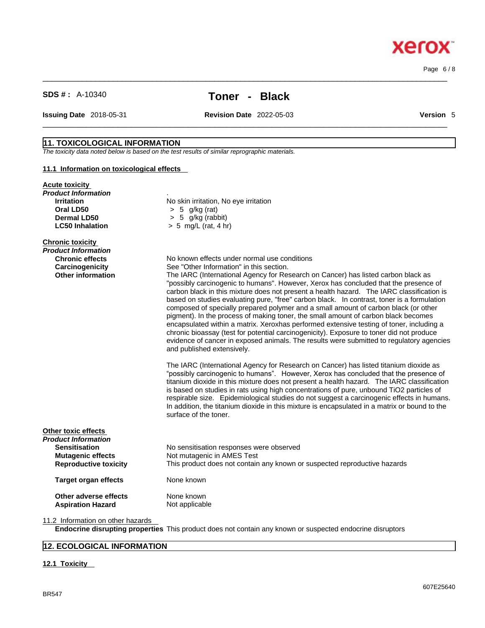$\_$  ,  $\_$  ,  $\_$  ,  $\_$  ,  $\_$  ,  $\_$  ,  $\_$  ,  $\_$  ,  $\_$  ,  $\_$  ,  $\_$  ,  $\_$  ,  $\_$  ,  $\_$  ,  $\_$  ,  $\_$  ,  $\_$  ,  $\_$  ,  $\_$  ,  $\_$  ,  $\_$  ,  $\_$  ,  $\_$  ,  $\_$  ,  $\_$  ,  $\_$  ,  $\_$  ,  $\_$  ,  $\_$  ,  $\_$  ,  $\_$  ,  $\_$  ,  $\_$  ,  $\_$  ,  $\_$  ,  $\_$  ,  $\_$  , Page 6 / 8

**Xerox** 

# **SDS # :** A-10340 **Toner - Black**

 $\_$  ,  $\_$  ,  $\_$  ,  $\_$  ,  $\_$  ,  $\_$  ,  $\_$  ,  $\_$  ,  $\_$  ,  $\_$  ,  $\_$  ,  $\_$  ,  $\_$  ,  $\_$  ,  $\_$  ,  $\_$  ,  $\_$  ,  $\_$  ,  $\_$  ,  $\_$  ,  $\_$  ,  $\_$  ,  $\_$  ,  $\_$  ,  $\_$  ,  $\_$  ,  $\_$  ,  $\_$  ,  $\_$  ,  $\_$  ,  $\_$  ,  $\_$  ,  $\_$  ,  $\_$  ,  $\_$  ,  $\_$  ,  $\_$  ,

**Issuing Date** 2018-05-31 **Revision Date** 2022-05-03 **Version** 5

# **11. TOXICOLOGICAL INFORMATION**

*The toxicity data noted below is based on the test results of similar reprographic materials.* 

## **11.1 Information on toxicological effects**

| <b>Acute toxicity</b>             |                                                                                                                                                                                                                                                                                                                                                                                                                                                                                                                                                                                                                                                                                                                                                                                                                                                                     |
|-----------------------------------|---------------------------------------------------------------------------------------------------------------------------------------------------------------------------------------------------------------------------------------------------------------------------------------------------------------------------------------------------------------------------------------------------------------------------------------------------------------------------------------------------------------------------------------------------------------------------------------------------------------------------------------------------------------------------------------------------------------------------------------------------------------------------------------------------------------------------------------------------------------------|
| Product Information               |                                                                                                                                                                                                                                                                                                                                                                                                                                                                                                                                                                                                                                                                                                                                                                                                                                                                     |
| <b>Irritation</b>                 | No skin irritation, No eye irritation                                                                                                                                                                                                                                                                                                                                                                                                                                                                                                                                                                                                                                                                                                                                                                                                                               |
| Oral LD50<br><b>Dermal LD50</b>   | $> 5$ g/kg (rat)                                                                                                                                                                                                                                                                                                                                                                                                                                                                                                                                                                                                                                                                                                                                                                                                                                                    |
| <b>LC50 Inhalation</b>            | $> 5$ g/kg (rabbit)<br>$> 5$ mg/L (rat, 4 hr)                                                                                                                                                                                                                                                                                                                                                                                                                                                                                                                                                                                                                                                                                                                                                                                                                       |
|                                   |                                                                                                                                                                                                                                                                                                                                                                                                                                                                                                                                                                                                                                                                                                                                                                                                                                                                     |
| <b>Chronic toxicity</b>           |                                                                                                                                                                                                                                                                                                                                                                                                                                                                                                                                                                                                                                                                                                                                                                                                                                                                     |
| Product Information               |                                                                                                                                                                                                                                                                                                                                                                                                                                                                                                                                                                                                                                                                                                                                                                                                                                                                     |
| <b>Chronic effects</b>            | No known effects under normal use conditions                                                                                                                                                                                                                                                                                                                                                                                                                                                                                                                                                                                                                                                                                                                                                                                                                        |
| Carcinogenicity                   | See "Other Information" in this section.                                                                                                                                                                                                                                                                                                                                                                                                                                                                                                                                                                                                                                                                                                                                                                                                                            |
| <b>Other information</b>          | The IARC (International Agency for Research on Cancer) has listed carbon black as<br>"possibly carcinogenic to humans". However, Xerox has concluded that the presence of<br>carbon black in this mixture does not present a health hazard. The IARC classification is<br>based on studies evaluating pure, "free" carbon black. In contrast, toner is a formulation<br>composed of specially prepared polymer and a small amount of carbon black (or other<br>pigment). In the process of making toner, the small amount of carbon black becomes<br>encapsulated within a matrix. Xeroxhas performed extensive testing of toner, including a<br>chronic bioassay (test for potential carcinogenicity). Exposure to toner did not produce<br>evidence of cancer in exposed animals. The results were submitted to regulatory agencies<br>and published extensively. |
|                                   | The IARC (International Agency for Research on Cancer) has listed titanium dioxide as<br>"possibly carcinogenic to humans". However, Xerox has concluded that the presence of<br>titanium dioxide in this mixture does not present a health hazard. The IARC classification<br>is based on studies in rats using high concentrations of pure, unbound TiO2 particles of<br>respirable size. Epidemiological studies do not suggest a carcinogenic effects in humans.<br>In addition, the titanium dioxide in this mixture is encapsulated in a matrix or bound to the<br>surface of the toner.                                                                                                                                                                                                                                                                      |
| Other toxic effects               |                                                                                                                                                                                                                                                                                                                                                                                                                                                                                                                                                                                                                                                                                                                                                                                                                                                                     |
| Product Information               |                                                                                                                                                                                                                                                                                                                                                                                                                                                                                                                                                                                                                                                                                                                                                                                                                                                                     |
| <b>Sensitisation</b>              | No sensitisation responses were observed                                                                                                                                                                                                                                                                                                                                                                                                                                                                                                                                                                                                                                                                                                                                                                                                                            |
| <b>Mutagenic effects</b>          | Not mutagenic in AMES Test                                                                                                                                                                                                                                                                                                                                                                                                                                                                                                                                                                                                                                                                                                                                                                                                                                          |
| <b>Reproductive toxicity</b>      | This product does not contain any known or suspected reproductive hazards                                                                                                                                                                                                                                                                                                                                                                                                                                                                                                                                                                                                                                                                                                                                                                                           |
| <b>Target organ effects</b>       | None known                                                                                                                                                                                                                                                                                                                                                                                                                                                                                                                                                                                                                                                                                                                                                                                                                                                          |
| Other adverse effects             | None known                                                                                                                                                                                                                                                                                                                                                                                                                                                                                                                                                                                                                                                                                                                                                                                                                                                          |
| <b>Aspiration Hazard</b>          | Not applicable                                                                                                                                                                                                                                                                                                                                                                                                                                                                                                                                                                                                                                                                                                                                                                                                                                                      |
| 11.2 Information on other hazards |                                                                                                                                                                                                                                                                                                                                                                                                                                                                                                                                                                                                                                                                                                                                                                                                                                                                     |
|                                   | Endocrine disrupting properties This product does not contain any known or suspected endocrine disruptors                                                                                                                                                                                                                                                                                                                                                                                                                                                                                                                                                                                                                                                                                                                                                           |
|                                   |                                                                                                                                                                                                                                                                                                                                                                                                                                                                                                                                                                                                                                                                                                                                                                                                                                                                     |

# **12. ECOLOGICAL INFORMATION**

# **12.1 Toxicity**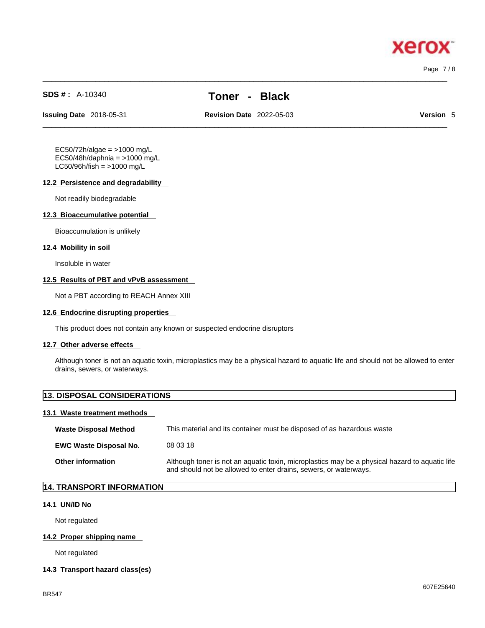Page 7 / 8

xero

**SDS # :** A-10340 **Toner - Black**

 $\_$  ,  $\_$  ,  $\_$  ,  $\_$  ,  $\_$  ,  $\_$  ,  $\_$  ,  $\_$  ,  $\_$  ,  $\_$  ,  $\_$  ,  $\_$  ,  $\_$  ,  $\_$  ,  $\_$  ,  $\_$  ,  $\_$  ,  $\_$  ,  $\_$  ,  $\_$  ,  $\_$  ,  $\_$  ,  $\_$  ,  $\_$  ,  $\_$  ,  $\_$  ,  $\_$  ,  $\_$  ,  $\_$  ,  $\_$  ,  $\_$  ,  $\_$  ,  $\_$  ,  $\_$  ,  $\_$  ,  $\_$  ,  $\_$  ,

**Issuing Date** 2018-05-31 **Revision Date** 2022-05-03 **Version** 5

 $\_$  ,  $\_$  ,  $\_$  ,  $\_$  ,  $\_$  ,  $\_$  ,  $\_$  ,  $\_$  ,  $\_$  ,  $\_$  ,  $\_$  ,  $\_$  ,  $\_$  ,  $\_$  ,  $\_$  ,  $\_$  ,  $\_$  ,  $\_$  ,  $\_$  ,  $\_$  ,  $\_$  ,  $\_$  ,  $\_$  ,  $\_$  ,  $\_$  ,  $\_$  ,  $\_$  ,  $\_$  ,  $\_$  ,  $\_$  ,  $\_$  ,  $\_$  ,  $\_$  ,  $\_$  ,  $\_$  ,  $\_$  ,  $\_$  ,

EC50/72h/algae = >1000 mg/L  $EC50/48h/daphnia =  $>1000 \text{ mg/L}$$  $LC50/96h/fish = >1000 mg/L$ 

# **12.2 Persistence and degradability**

Not readily biodegradable

### **12.3 Bioaccumulative potential**

Bioaccumulation is unlikely

### **12.4 Mobility in soil**

Insoluble in water

# **12.5 Results of PBT and vPvB assessment**

Not a PBT according to REACH Annex XIII

### **12.6 Endocrine disrupting properties**

This product does not contain any known or suspected endocrine disruptors

### **12.7 Other adverse effects**

Although toner is not an aquatic toxin, microplastics may be a physical hazard to aquatic life and should not be allowed to enter drains, sewers, or waterways.

| <b>13. DISPOSAL CONSIDERATIONS</b> |                                                                                                                                                                    |
|------------------------------------|--------------------------------------------------------------------------------------------------------------------------------------------------------------------|
| 13.1 Waste treatment methods       |                                                                                                                                                                    |
| <b>Waste Disposal Method</b>       | This material and its container must be disposed of as hazardous waste                                                                                             |
| <b>EWC Waste Disposal No.</b>      | 08 03 18                                                                                                                                                           |
| <b>Other information</b>           | Although toner is not an aquatic toxin, microplastics may be a physical hazard to aquatic life<br>and should not be allowed to enter drains, sewers, or waterways. |

# **14. TRANSPORT INFORMATION**

### **14.1 UN/ID No**

Not regulated

## **14.2 Proper shipping name**

Not regulated

## **14.3 Transport hazard class(es)**